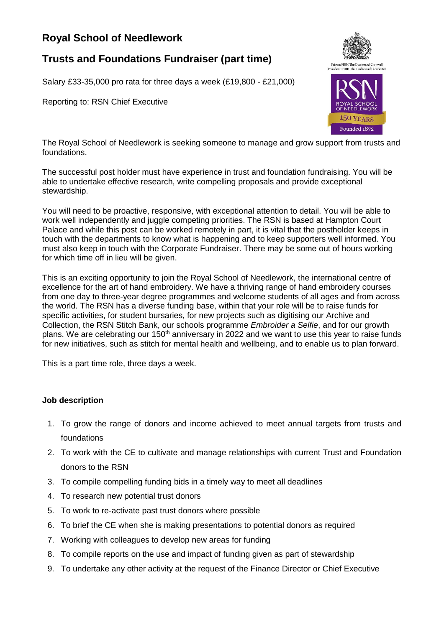## **Royal School of Needlework**

## **Trusts and Foundations Fundraiser (part time)**

Salary £33-35,000 pro rata for three days a week (£19,800 - £21,000)

Reporting to: RSN Chief Executive



The Royal School of Needlework is seeking someone to manage and grow support from trusts and foundations.

The successful post holder must have experience in trust and foundation fundraising. You will be able to undertake effective research, write compelling proposals and provide exceptional stewardship.

You will need to be proactive, responsive, with exceptional attention to detail. You will be able to work well independently and juggle competing priorities. The RSN is based at Hampton Court Palace and while this post can be worked remotely in part, it is vital that the postholder keeps in touch with the departments to know what is happening and to keep supporters well informed. You must also keep in touch with the Corporate Fundraiser. There may be some out of hours working for which time off in lieu will be given.

This is an exciting opportunity to join the Royal School of Needlework, the international centre of excellence for the art of hand embroidery. We have a thriving range of hand embroidery courses from one day to three-year degree programmes and welcome students of all ages and from across the world. The RSN has a diverse funding base, within that your role will be to raise funds for specific activities, for student bursaries, for new projects such as digitising our Archive and Collection, the RSN Stitch Bank, our schools programme *Embroider a Selfie*, and for our growth plans. We are celebrating our 150<sup>th</sup> anniversary in 2022 and we want to use this year to raise funds for new initiatives, such as stitch for mental health and wellbeing, and to enable us to plan forward.

This is a part time role, three days a week.

## **Job description**

- 1. To grow the range of donors and income achieved to meet annual targets from trusts and foundations
- 2. To work with the CE to cultivate and manage relationships with current Trust and Foundation donors to the RSN
- 3. To compile compelling funding bids in a timely way to meet all deadlines
- 4. To research new potential trust donors
- 5. To work to re-activate past trust donors where possible
- 6. To brief the CE when she is making presentations to potential donors as required
- 7. Working with colleagues to develop new areas for funding
- 8. To compile reports on the use and impact of funding given as part of stewardship
- 9. To undertake any other activity at the request of the Finance Director or Chief Executive